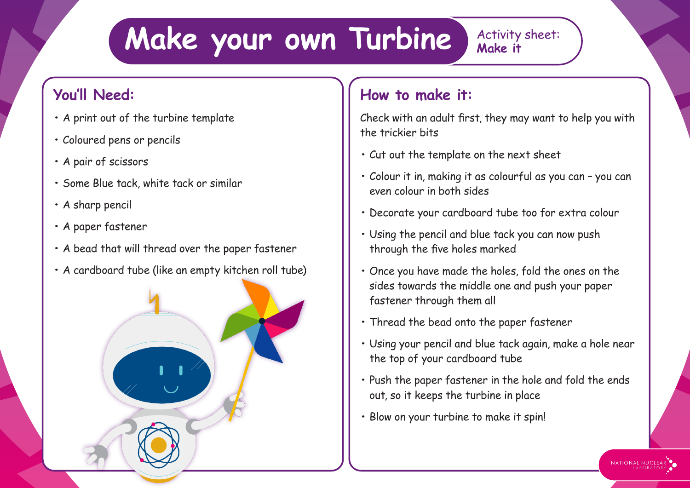## **Make your own Turbine** Activity sheet:

## **You'll Need:**

- **•** A print out of the turbine template
- **•** Coloured pens or pencils
- **•** A pair of scissors
- **•** Some Blue tack, white tack or similar
- **•** A sharp pencil
- **•** A paper fastener
- **•** A bead that will thread over the paper fastener
- **•** A cardboard tube (like an empty kitchen roll tube)

## **How to make it:**

Check with an adult first, they may want to help you with the trickier bits

- **•** Cut out the template on the next sheet
- **•** Colour it in, making it as colourful as you can you can even colour in both sides
- **•** Decorate your cardboard tube too for extra colour
- **•** Using the pencil and blue tack you can now push through the five holes marked
- **•** Once you have made the holes, fold the ones on the sides towards the middle one and push your paper fastener through them all
- **•** Thread the bead onto the paper fastener
- **•** Using your pencil and blue tack again, make a hole near the top of your cardboard tube
- **•** Push the paper fastener in the hole and fold the ends out, so it keeps the turbine in place

NATIONAL NUCLEAR

**•** Blow on your turbine to make it spin!